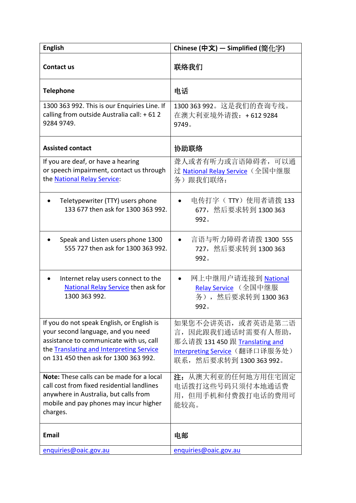| <b>English</b>                                                                                                                                                                                                   | Chinese (中文) - Simplified (简化字)                                                                                                                |
|------------------------------------------------------------------------------------------------------------------------------------------------------------------------------------------------------------------|------------------------------------------------------------------------------------------------------------------------------------------------|
| <b>Contact us</b>                                                                                                                                                                                                | 联络我们                                                                                                                                           |
| <b>Telephone</b>                                                                                                                                                                                                 | 电话                                                                                                                                             |
| 1300 363 992. This is our Enquiries Line. If<br>calling from outside Australia call: + 61 2<br>9284 9749.                                                                                                        | 1300 363 992。这是我们的查询专线。<br>在澳大利亚境外请拨: +612 9284<br>9749.                                                                                       |
| <b>Assisted contact</b>                                                                                                                                                                                          | 协助联络                                                                                                                                           |
| If you are deaf, or have a hearing<br>or speech impairment, contact us through<br>the National Relay Service:                                                                                                    | 聋人或者有听力或言语障碍者,可以通<br><u>过 National Relay Service</u> (全国中继服<br>务)跟我们联络:                                                                        |
| Teletypewriter (TTY) users phone<br>133 677 then ask for 1300 363 992.                                                                                                                                           | 电传打字 ( TTY) 使用者请拨 133<br>677, 然后要求转到 1300 363<br>992 <sub>o</sub>                                                                              |
| Speak and Listen users phone 1300<br>555 727 then ask for 1300 363 992.                                                                                                                                          | 言语与听力障碍者请拨 1300 555<br>727, 然后要求转到 1300 363<br>992 <sub>o</sub>                                                                                |
| Internet relay users connect to the<br>National Relay Service then ask for<br>1300 363 992.                                                                                                                      | 网上中继用户请连接到 <u>National</u><br><u>Relay Service</u> (全国中继服<br>务), 然后要求转到 1300 363<br>992 <sub>o</sub>                                           |
| If you do not speak English, or English is<br>your second language, and you need<br>assistance to communicate with us, call<br>the Translating and Interpreting Service<br>on 131 450 then ask for 1300 363 992. | 如果您不会讲英语,或者英语是第二语<br>言, 因此跟我们通话时需要有人帮助,<br>那么请拨 131 450 跟 Translating and<br><u>Interpreting Service</u> (翻译口译服务处)<br>联系, 然后要求转到 1300 363 992。 |
| <b>Note:</b> These calls can be made for a local<br>call cost from fixed residential landlines<br>anywhere in Australia, but calls from<br>mobile and pay phones may incur higher<br>charges.                    | 注: 从澳大利亚的任何地方用住宅固定<br>电话拨打这些号码只须付本地通话费<br>用, 但用手机和付费拨打电话的费用可<br>能较高。                                                                           |
| <b>Email</b>                                                                                                                                                                                                     | 电邮                                                                                                                                             |
| enquiries@oaic.gov.au                                                                                                                                                                                            | enquiries@oaic.gov.au                                                                                                                          |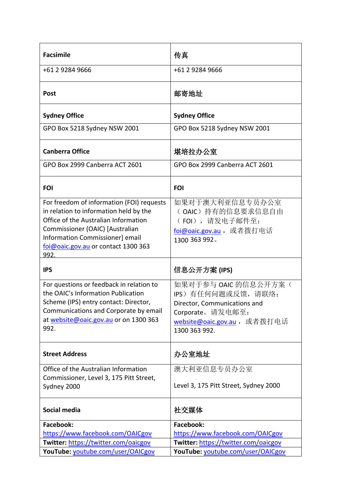| <b>Facsimile</b>                                                                                                                                                                                                                                 | 传真                                                                                                                                                     |
|--------------------------------------------------------------------------------------------------------------------------------------------------------------------------------------------------------------------------------------------------|--------------------------------------------------------------------------------------------------------------------------------------------------------|
| +61 2 9284 9666                                                                                                                                                                                                                                  | +61 2 9284 9666                                                                                                                                        |
| <b>Post</b>                                                                                                                                                                                                                                      | 邮寄地址                                                                                                                                                   |
| <b>Sydney Office</b>                                                                                                                                                                                                                             | <b>Sydney Office</b>                                                                                                                                   |
| GPO Box 5218 Sydney NSW 2001                                                                                                                                                                                                                     | GPO Box 5218 Sydney NSW 2001                                                                                                                           |
| <b>Canberra Office</b>                                                                                                                                                                                                                           | 堪培拉办公室                                                                                                                                                 |
| GPO Box 2999 Canberra ACT 2601                                                                                                                                                                                                                   | GPO Box 2999 Canberra ACT 2601                                                                                                                         |
| <b>FOI</b>                                                                                                                                                                                                                                       | <b>FOI</b>                                                                                                                                             |
| For freedom of information (FOI) requests<br>in relation to information held by the<br>Office of the Australian Information<br>Commissioner (OAIC) [Australian<br>Information Commissioner] email<br>foi@oaic.gov.au or contact 1300 363<br>992. | 如果对于澳大利亚信息专员办公室<br>(OAIC)持有的信息要求信息自由<br>(FOI), 请发电子邮件至:<br>foi@oaic.gov.au, 或者拨打电话<br>1300 363 992.                                                    |
| <b>IPS</b>                                                                                                                                                                                                                                       | 信息公开方案 (IPS)                                                                                                                                           |
| For questions or feedback in relation to<br>the OAIC's Information Publication<br>Scheme (IPS) entry contact: Director,<br>Communications and Corporate by email<br>at website@oaic.gov.au or on 1300 363<br>992.                                | 如果对于参与 OAIC 的信息公开方案(<br>IPS) 有任何问题或反馈, 请联络:<br>Director, Communications and<br>Corporate。请发电邮至:<br><u>website@oaic.gov.au</u> ,或者拨打电话<br>1300 363 992. |
| <b>Street Address</b>                                                                                                                                                                                                                            | 办公室地址                                                                                                                                                  |
| Office of the Australian Information<br>Commissioner, Level 3, 175 Pitt Street,<br>Sydney 2000                                                                                                                                                   | 澳大利亚信息专员办公室<br>Level 3, 175 Pitt Street, Sydney 2000                                                                                                   |
| Social media                                                                                                                                                                                                                                     | 社交媒体                                                                                                                                                   |
| <b>Facebook:</b>                                                                                                                                                                                                                                 | Facebook:                                                                                                                                              |
| https://www.facebook.com/OAICgov                                                                                                                                                                                                                 | https://www.facebook.com/OAICgov                                                                                                                       |
| Twitter: https://twitter.com/oaicgov                                                                                                                                                                                                             | Twitter: https://twitter.com/oaicgov                                                                                                                   |
| YouTube: youtube.com/user/OAICgov                                                                                                                                                                                                                | YouTube: youtube.com/user/OAICgov                                                                                                                      |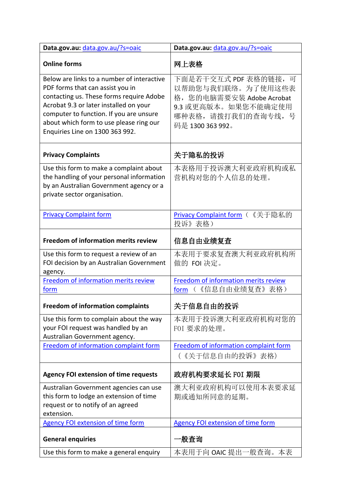| Data.gov.au: data.gov.au/?s=oaic                                                                                                                                                                                                                                                              | Data.gov.au: data.gov.au/?s=oaic                                                                                                          |
|-----------------------------------------------------------------------------------------------------------------------------------------------------------------------------------------------------------------------------------------------------------------------------------------------|-------------------------------------------------------------------------------------------------------------------------------------------|
| <b>Online forms</b>                                                                                                                                                                                                                                                                           | 网上表格                                                                                                                                      |
| Below are links to a number of interactive<br>PDF forms that can assist you in<br>contacting us. These forms require Adobe<br>Acrobat 9.3 or later installed on your<br>computer to function. If you are unsure<br>about which form to use please ring our<br>Enquiries Line on 1300 363 992. | 下面是若干交互式 PDF 表格的链接, 可<br>以帮助您与我们联络。为了使用这些表<br>格, 您的电脑需要安装 Adobe Acrobat<br>9.3 或更高版本。如果您不能确定使用<br>哪种表格, 请拨打我们的查询专线, 号<br>码是 1300 363 992。 |
| <b>Privacy Complaints</b>                                                                                                                                                                                                                                                                     | 关于隐私的投诉                                                                                                                                   |
| Use this form to make a complaint about<br>the handling of your personal information<br>by an Australian Government agency or a<br>private sector organisation.                                                                                                                               | 本表格用于投诉澳大利亚政府机构或私<br>营机构对您的个人信息的处理。                                                                                                       |
| <b>Privacy Complaint form</b>                                                                                                                                                                                                                                                                 | Privacy Complaint form (《关于隐私的<br>投诉》 表格)                                                                                                 |
| Freedom of information merits review                                                                                                                                                                                                                                                          | 信息自由业绩复查                                                                                                                                  |
| Use this form to request a review of an<br>FOI decision by an Australian Government<br>agency.                                                                                                                                                                                                | 本表用于要求复查澳大利亚政府机构所<br>做的 FOI 决定。                                                                                                           |
| Freedom of information merits review<br>form                                                                                                                                                                                                                                                  | Freedom of information merits review<br>(《信息自由业绩复查》表格)<br>form                                                                            |
| <b>Freedom of information complaints</b>                                                                                                                                                                                                                                                      | 关于信息自由的投诉                                                                                                                                 |
| Use this form to complain about the way<br>your FOI request was handled by an<br>Australian Government agency.                                                                                                                                                                                | 本表用于投诉澳大利亚政府机构对您的<br>FOI 要求的处理。                                                                                                           |
| Freedom of information complaint form                                                                                                                                                                                                                                                         | Freedom of information complaint form<br>(《关于信息自由的投诉》表格)                                                                                  |
| <b>Agency FOI extension of time requests</b>                                                                                                                                                                                                                                                  | 政府机构要求延长 F0I 期限                                                                                                                           |
| Australian Government agencies can use<br>this form to lodge an extension of time<br>request or to notify of an agreed<br>extension.                                                                                                                                                          | 澳大利亚政府机构可以使用本表要求延<br>期或通知所同意的延期。                                                                                                          |
| <b>Agency FOI extension of time form</b>                                                                                                                                                                                                                                                      | <b>Agency FOI extension of time form</b>                                                                                                  |
| <b>General enquiries</b>                                                                                                                                                                                                                                                                      | ·般査询                                                                                                                                      |
| Use this form to make a general enquiry                                                                                                                                                                                                                                                       | 本表用于向 OAIC 提出一般查询。本表                                                                                                                      |